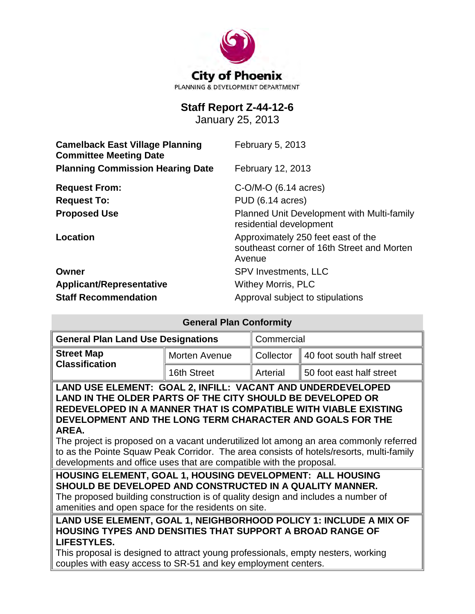

# **Staff Report Z-44-12-6**

January 25, 2013

| <b>Camelback East Village Planning</b><br><b>Committee Meeting Date</b> | February 5, 2013                                                                           |  |  |
|-------------------------------------------------------------------------|--------------------------------------------------------------------------------------------|--|--|
| <b>Planning Commission Hearing Date</b>                                 | February 12, 2013                                                                          |  |  |
| <b>Request From:</b>                                                    | $C-O/M-O$ (6.14 acres)                                                                     |  |  |
| <b>Request To:</b>                                                      | PUD (6.14 acres)                                                                           |  |  |
| <b>Proposed Use</b>                                                     | Planned Unit Development with Multi-family<br>residential development                      |  |  |
| Location                                                                | Approximately 250 feet east of the<br>southeast corner of 16th Street and Morten<br>Avenue |  |  |
| Owner                                                                   | <b>SPV Investments, LLC</b>                                                                |  |  |
| <b>Applicant/Representative</b>                                         | <b>Withey Morris, PLC</b>                                                                  |  |  |
| <b>Staff Recommendation</b>                                             | Approval subject to stipulations                                                           |  |  |

| <b>General Plan Conformity</b>                                                                                                                                                                                                                                                                                                                                                                                                                                                                                                |               |            |                                                                   |  |
|-------------------------------------------------------------------------------------------------------------------------------------------------------------------------------------------------------------------------------------------------------------------------------------------------------------------------------------------------------------------------------------------------------------------------------------------------------------------------------------------------------------------------------|---------------|------------|-------------------------------------------------------------------|--|
| <b>General Plan Land Use Designations</b>                                                                                                                                                                                                                                                                                                                                                                                                                                                                                     |               | Commercial |                                                                   |  |
| <b>Street Map</b><br><b>Classification</b>                                                                                                                                                                                                                                                                                                                                                                                                                                                                                    | Morten Avenue | Collector  | 40 foot south half street                                         |  |
|                                                                                                                                                                                                                                                                                                                                                                                                                                                                                                                               | 16th Street   | Arterial   | 50 foot east half street                                          |  |
| LAND USE ELEMENT: GOAL 2, INFILL: VACANT AND UNDERDEVELOPED<br>LAND IN THE OLDER PARTS OF THE CITY SHOULD BE DEVELOPED OR<br>REDEVELOPED IN A MANNER THAT IS COMPATIBLE WITH VIABLE EXISTING<br>DEVELOPMENT AND THE LONG TERM CHARACTER AND GOALS FOR THE<br>AREA.<br>The project is proposed on a vacant underutilized lot among an area commonly referred<br>to as the Pointe Squaw Peak Corridor. The area consists of hotels/resorts, multi-family<br>developments and office uses that are compatible with the proposal. |               |            |                                                                   |  |
| HOUSING ELEMENT, GOAL 1, HOUSING DEVELOPMENT: ALL HOUSING<br>SHOULD BE DEVELOPED AND CONSTRUCTED IN A QUALITY MANNER.<br>The proposed building construction is of quality design and includes a number of<br>amenities and open space for the residents on site.                                                                                                                                                                                                                                                              |               |            |                                                                   |  |
| <b>HOUSING TYPES AND DENSITIES THAT SUPPORT A BROAD RANGE OF</b><br>LIFESTYLES.<br>This proposal is designed to attract young professionals, empty nesters, working<br>couples with easy access to SR-51 and key employment centers.                                                                                                                                                                                                                                                                                          |               |            | LAND USE ELEMENT, GOAL 1, NEIGHBORHOOD POLICY 1: INCLUDE A MIX OF |  |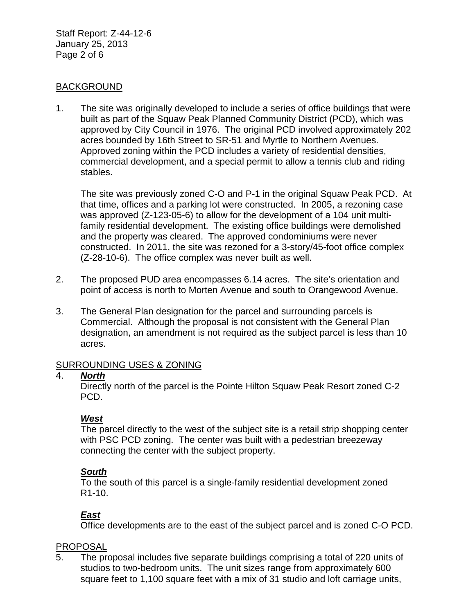Staff Report: Z-44-12-6 January 25, 2013 Page 2 of 6

## BACKGROUND

1. The site was originally developed to include a series of office buildings that were built as part of the Squaw Peak Planned Community District (PCD), which was approved by City Council in 1976. The original PCD involved approximately 202 acres bounded by 16th Street to SR-51 and Myrtle to Northern Avenues. Approved zoning within the PCD includes a variety of residential densities, commercial development, and a special permit to allow a tennis club and riding stables.

The site was previously zoned C-O and P-1 in the original Squaw Peak PCD. At that time, offices and a parking lot were constructed. In 2005, a rezoning case was approved (Z-123-05-6) to allow for the development of a 104 unit multifamily residential development. The existing office buildings were demolished and the property was cleared. The approved condominiums were never constructed. In 2011, the site was rezoned for a 3-story/45-foot office complex (Z-28-10-6). The office complex was never built as well.

- 2. The proposed PUD area encompasses 6.14 acres. The site's orientation and point of access is north to Morten Avenue and south to Orangewood Avenue.
- 3. The General Plan designation for the parcel and surrounding parcels is Commercial. Although the proposal is not consistent with the General Plan designation, an amendment is not required as the subject parcel is less than 10 acres.

## SURROUNDING USES & ZONING

## 4. *North*

Directly north of the parcel is the Pointe Hilton Squaw Peak Resort zoned C-2 PCD.

# *West*

The parcel directly to the west of the subject site is a retail strip shopping center with PSC PCD zoning. The center was built with a pedestrian breezeway connecting the center with the subject property.

# *South*

To the south of this parcel is a single-family residential development zoned R1-10.

# *East*

Office developments are to the east of the subject parcel and is zoned C-O PCD.

# PROPOSAL

5. The proposal includes five separate buildings comprising a total of 220 units of studios to two-bedroom units. The unit sizes range from approximately 600 square feet to 1,100 square feet with a mix of 31 studio and loft carriage units,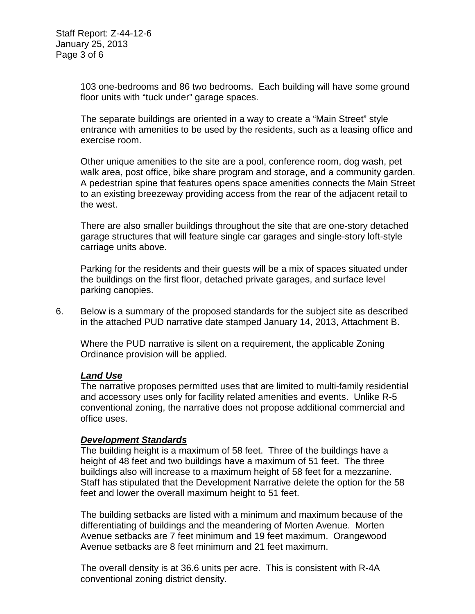103 one-bedrooms and 86 two bedrooms. Each building will have some ground floor units with "tuck under" garage spaces.

The separate buildings are oriented in a way to create a "Main Street" style entrance with amenities to be used by the residents, such as a leasing office and exercise room.

Other unique amenities to the site are a pool, conference room, dog wash, pet walk area, post office, bike share program and storage, and a community garden. A pedestrian spine that features opens space amenities connects the Main Street to an existing breezeway providing access from the rear of the adjacent retail to the west.

There are also smaller buildings throughout the site that are one-story detached garage structures that will feature single car garages and single-story loft-style carriage units above.

Parking for the residents and their guests will be a mix of spaces situated under the buildings on the first floor, detached private garages, and surface level parking canopies.

6. Below is a summary of the proposed standards for the subject site as described in the attached PUD narrative date stamped January 14, 2013, Attachment B.

Where the PUD narrative is silent on a requirement, the applicable Zoning Ordinance provision will be applied.

## *Land Use*

The narrative proposes permitted uses that are limited to multi-family residential and accessory uses only for facility related amenities and events. Unlike R-5 conventional zoning, the narrative does not propose additional commercial and office uses.

## *Development Standards*

The building height is a maximum of 58 feet. Three of the buildings have a height of 48 feet and two buildings have a maximum of 51 feet. The three buildings also will increase to a maximum height of 58 feet for a mezzanine. Staff has stipulated that the Development Narrative delete the option for the 58 feet and lower the overall maximum height to 51 feet.

The building setbacks are listed with a minimum and maximum because of the differentiating of buildings and the meandering of Morten Avenue. Morten Avenue setbacks are 7 feet minimum and 19 feet maximum. Orangewood Avenue setbacks are 8 feet minimum and 21 feet maximum.

The overall density is at 36.6 units per acre. This is consistent with R-4A conventional zoning district density.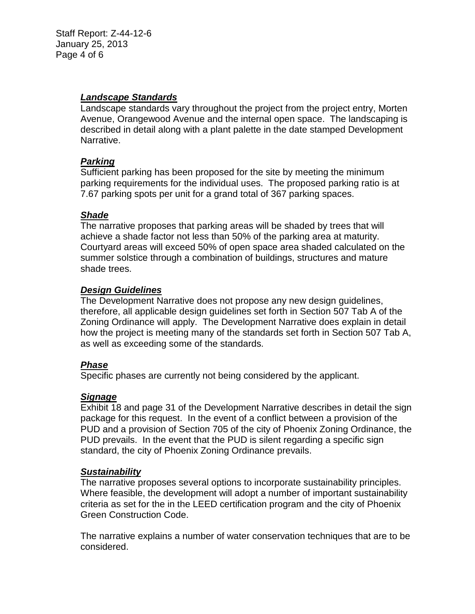Staff Report: Z-44-12-6 January 25, 2013 Page 4 of 6

## *Landscape Standards*

Landscape standards vary throughout the project from the project entry, Morten Avenue, Orangewood Avenue and the internal open space. The landscaping is described in detail along with a plant palette in the date stamped Development Narrative.

## *Parking*

Sufficient parking has been proposed for the site by meeting the minimum parking requirements for the individual uses. The proposed parking ratio is at 7.67 parking spots per unit for a grand total of 367 parking spaces.

## *Shade*

The narrative proposes that parking areas will be shaded by trees that will achieve a shade factor not less than 50% of the parking area at maturity. Courtyard areas will exceed 50% of open space area shaded calculated on the summer solstice through a combination of buildings, structures and mature shade trees.

## *Design Guidelines*

The Development Narrative does not propose any new design guidelines, therefore, all applicable design guidelines set forth in Section 507 Tab A of the Zoning Ordinance will apply. The Development Narrative does explain in detail how the project is meeting many of the standards set forth in Section 507 Tab A, as well as exceeding some of the standards.

## *Phase*

Specific phases are currently not being considered by the applicant.

## *Signage*

Exhibit 18 and page 31 of the Development Narrative describes in detail the sign package for this request. In the event of a conflict between a provision of the PUD and a provision of Section 705 of the city of Phoenix Zoning Ordinance, the PUD prevails. In the event that the PUD is silent regarding a specific sign standard, the city of Phoenix Zoning Ordinance prevails.

## *Sustainability*

The narrative proposes several options to incorporate sustainability principles. Where feasible, the development will adopt a number of important sustainability criteria as set for the in the LEED certification program and the city of Phoenix Green Construction Code.

The narrative explains a number of water conservation techniques that are to be considered.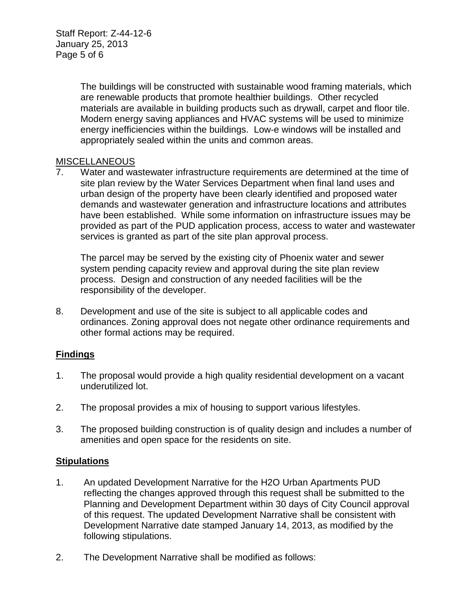The buildings will be constructed with sustainable wood framing materials, which are renewable products that promote healthier buildings. Other recycled materials are available in building products such as drywall, carpet and floor tile. Modern energy saving appliances and HVAC systems will be used to minimize energy inefficiencies within the buildings. Low-e windows will be installed and appropriately sealed within the units and common areas.

## **MISCELLANEOUS**

7. Water and wastewater infrastructure requirements are determined at the time of site plan review by the Water Services Department when final land uses and urban design of the property have been clearly identified and proposed water demands and wastewater generation and infrastructure locations and attributes have been established. While some information on infrastructure issues may be provided as part of the PUD application process, access to water and wastewater services is granted as part of the site plan approval process.

The parcel may be served by the existing city of Phoenix water and sewer system pending capacity review and approval during the site plan review process. Design and construction of any needed facilities will be the responsibility of the developer.

8. Development and use of the site is subject to all applicable codes and ordinances. Zoning approval does not negate other ordinance requirements and other formal actions may be required.

# **Findings**

- 1. The proposal would provide a high quality residential development on a vacant underutilized lot.
- 2. The proposal provides a mix of housing to support various lifestyles.
- 3. The proposed building construction is of quality design and includes a number of amenities and open space for the residents on site.

# **Stipulations**

- 1. An updated Development Narrative for the H2O Urban Apartments PUD reflecting the changes approved through this request shall be submitted to the Planning and Development Department within 30 days of City Council approval of this request. The updated Development Narrative shall be consistent with Development Narrative date stamped January 14, 2013, as modified by the following stipulations.
- 2. The Development Narrative shall be modified as follows: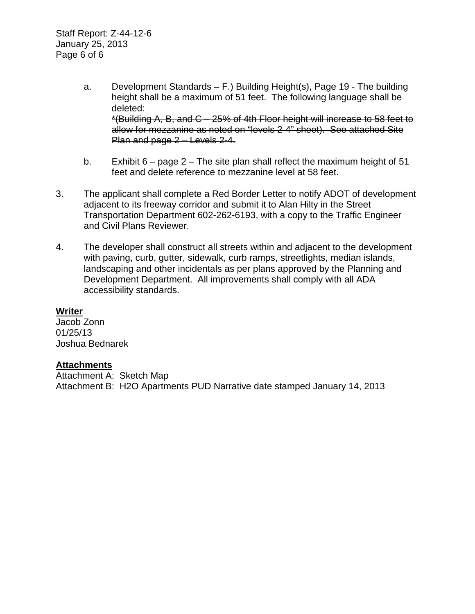Staff Report: Z-44-12-6 January 25, 2013 Page 6 of 6

- a. Development Standards F.) Building Height(s), Page 19 The building height shall be a maximum of 51 feet. The following language shall be deleted: \*(Building A, B, and C – 25% of 4th Floor height will increase to 58 feet to allow for mezzanine as noted on "levels 2-4" sheet). See attached Site Plan and page 2 – Levels 2-4.
- b. Exhibit 6 page 2 The site plan shall reflect the maximum height of 51 feet and delete reference to mezzanine level at 58 feet.
- 3. The applicant shall complete a Red Border Letter to notify ADOT of development adjacent to its freeway corridor and submit it to Alan Hilty in the Street Transportation Department 602-262-6193, with a copy to the Traffic Engineer and Civil Plans Reviewer.
- 4. The developer shall construct all streets within and adjacent to the development with paving, curb, gutter, sidewalk, curb ramps, streetlights, median islands, landscaping and other incidentals as per plans approved by the Planning and Development Department. All improvements shall comply with all ADA accessibility standards.

## **Writer**

Jacob Zonn 01/25/13 Joshua Bednarek

## **Attachments**

Attachment A: Sketch Map Attachment B: H2O Apartments PUD Narrative date stamped January 14, 2013